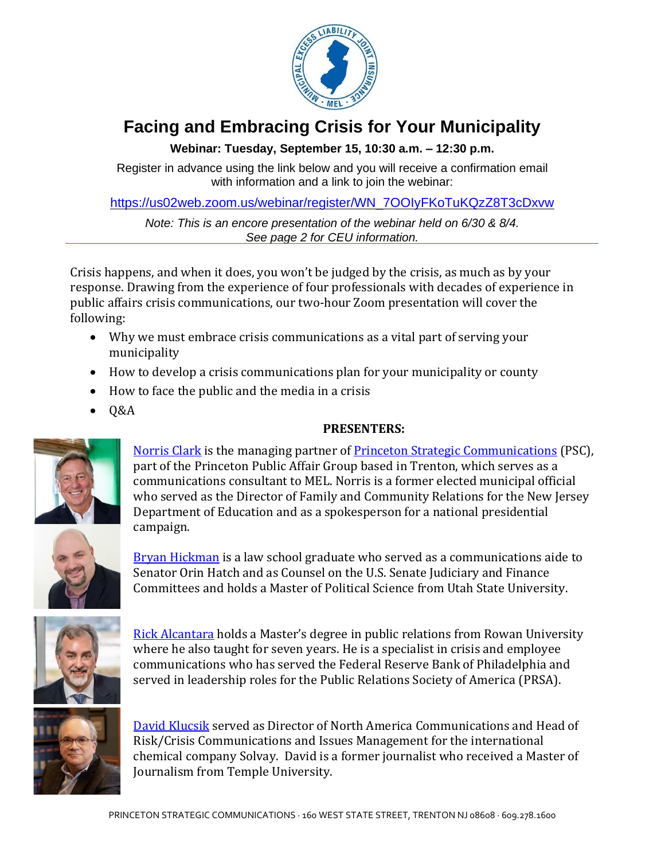

## **Facing and Embracing Crisis for Your Municipality**

## **Webinar: Tuesday, September 15, 10:30 a.m. – 12:30 p.m.**

Register in advance using the link below and you will receive a confirmation email with information and a link to join the webinar:

[https://us02web.zoom.us/webinar/register/WN\\_7OOIyFKoTuKQzZ8T3cDxvw](https://us02web.zoom.us/webinar/register/WN_7OOIyFKoTuKQzZ8T3cDxvw)

*Note: This is an encore presentation of the webinar held on 6/30 & 8/4. See page 2 for CEU information.*

Crisis happens, and when it does, you won't be judged by the crisis, as much as by your response. Drawing from the experience of four professionals with decades of experience in public affairs crisis communications, our two-hour Zoom presentation will cover the following:

- Why we must embrace crisis communications as a vital part of serving your municipality
- How to develop a crisis communications plan for your municipality or county
- How to face the public and the media in a crisis
- $\bullet$  Q&A

## **PRESENTERS:**



[Norris](https://princetonscgroup.com/professionals/norris.clark/) Clark is the managing partner of Princeton Strategic [Communications](https://princetonscgroup.com/) (PSC), part of the Princeton Public Affair Group based in Trenton, which serves as a communications consultant to MEL. Norris is a former elected municipal official who served as the Director of Family and Community Relations for the New Jersey Department of Education and as a spokesperson for a national presidential campaign.



Bryan [Hickman](https://princetonscgroup.com/profiles/bryan-hickman/) is a law school graduate who served as a communications aide to Senator Orin Hatch and as Counsel on the U.S. Senate Judiciary and Finance Committees and holds a Master of Political Science from Utah State University.



Rick [Alcantara](https://princetonscgroup.com/profiles/rick.alcantara/) holds a Master's degree in public relations from Rowan University where he also taught for seven years. He is a specialist in crisis and employee communications who has served the Federal Reserve Bank of Philadelphia and served in leadership roles for the Public Relations Society of America (PRSA).



David [Klucsik](https://princetonscgroup.com/profiles/david-klucsik/) served as Director of North America Communications and Head of Risk/Crisis Communications and Issues Management for the international chemical company Solvay. David is a former journalist who received a Master of Journalism from Temple University.